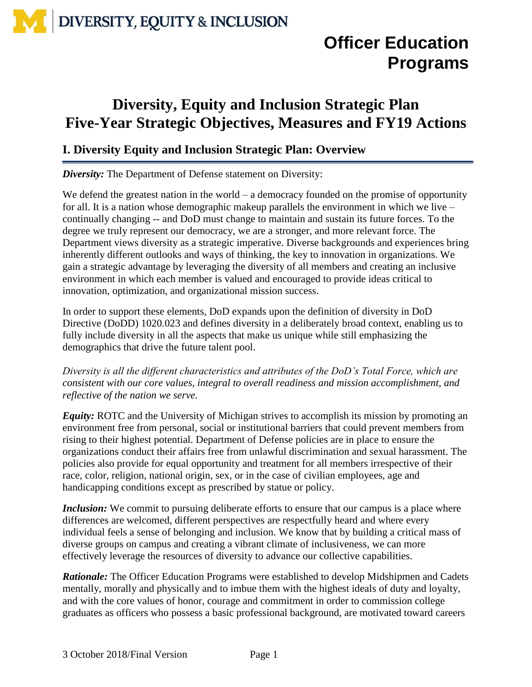## **Officer Education Programs**

### **Diversity, Equity and Inclusion Strategic Plan Five-Year Strategic Objectives, Measures and FY19 Actions**

### **I. Diversity Equity and Inclusion Strategic Plan: Overview**

*Diversity:* The Department of Defense statement on Diversity:

We defend the greatest nation in the world – a democracy founded on the promise of opportunity for all. It is a nation whose demographic makeup parallels the environment in which we live – continually changing -- and DoD must change to maintain and sustain its future forces. To the degree we truly represent our democracy, we are a stronger, and more relevant force. The Department views diversity as a strategic imperative. Diverse backgrounds and experiences bring inherently different outlooks and ways of thinking, the key to innovation in organizations. We gain a strategic advantage by leveraging the diversity of all members and creating an inclusive environment in which each member is valued and encouraged to provide ideas critical to innovation, optimization, and organizational mission success.

In order to support these elements, DoD expands upon the definition of diversity in DoD Directive (DoDD) 1020.023 and defines diversity in a deliberately broad context, enabling us to fully include diversity in all the aspects that make us unique while still emphasizing the demographics that drive the future talent pool.

*Diversity is all the different characteristics and attributes of the DoD's Total Force, which are consistent with our core values, integral to overall readiness and mission accomplishment, and reflective of the nation we serve.* 

*Equity:* ROTC and the University of Michigan strives to accomplish its mission by promoting an environment free from personal, social or institutional barriers that could prevent members from rising to their highest potential. Department of Defense policies are in place to ensure the organizations conduct their affairs free from unlawful discrimination and sexual harassment. The policies also provide for equal opportunity and treatment for all members irrespective of their race, color, religion, national origin, sex, or in the case of civilian employees, age and handicapping conditions except as prescribed by statue or policy.

*Inclusion:* We commit to pursuing deliberate efforts to ensure that our campus is a place where differences are welcomed, different perspectives are respectfully heard and where every individual feels a sense of belonging and inclusion. We know that by building a critical mass of diverse groups on campus and creating a vibrant climate of inclusiveness, we can more effectively leverage the resources of diversity to advance our collective capabilities.

*Rationale:* The Officer Education Programs were established to develop Midshipmen and Cadets mentally, morally and physically and to imbue them with the highest ideals of duty and loyalty, and with the core values of honor, courage and commitment in order to commission college graduates as officers who possess a basic professional background, are motivated toward careers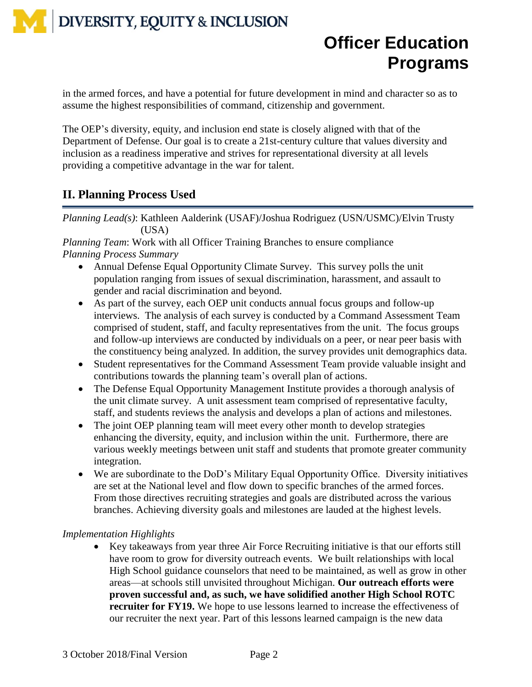## **Officer Education Programs**

in the armed forces, and have a potential for future development in mind and character so as to assume the highest responsibilities of command, citizenship and government.

The OEP's diversity, equity, and inclusion end state is closely aligned with that of the Department of Defense. Our goal is to create a 21st-century culture that values diversity and inclusion as a readiness imperative and strives for representational diversity at all levels providing a competitive advantage in the war for talent.

### **II. Planning Process Used**

*Planning Lead(s)*: Kathleen Aalderink (USAF)/Joshua Rodriguez (USN/USMC)/Elvin Trusty (USA)

*Planning Team*: Work with all Officer Training Branches to ensure compliance *Planning Process Summary*

- Annual Defense Equal Opportunity Climate Survey. This survey polls the unit population ranging from issues of sexual discrimination, harassment, and assault to gender and racial discrimination and beyond.
- As part of the survey, each OEP unit conducts annual focus groups and follow-up interviews. The analysis of each survey is conducted by a Command Assessment Team comprised of student, staff, and faculty representatives from the unit. The focus groups and follow-up interviews are conducted by individuals on a peer, or near peer basis with the constituency being analyzed. In addition, the survey provides unit demographics data.
- Student representatives for the Command Assessment Team provide valuable insight and contributions towards the planning team's overall plan of actions.
- The Defense Equal Opportunity Management Institute provides a thorough analysis of the unit climate survey. A unit assessment team comprised of representative faculty, staff, and students reviews the analysis and develops a plan of actions and milestones.
- The joint OEP planning team will meet every other month to develop strategies enhancing the diversity, equity, and inclusion within the unit. Furthermore, there are various weekly meetings between unit staff and students that promote greater community integration.
- We are subordinate to the DoD's Military Equal Opportunity Office. Diversity initiatives are set at the National level and flow down to specific branches of the armed forces. From those directives recruiting strategies and goals are distributed across the various branches. Achieving diversity goals and milestones are lauded at the highest levels.

#### *Implementation Highlights*

 Key takeaways from year three Air Force Recruiting initiative is that our efforts still have room to grow for diversity outreach events. We built relationships with local High School guidance counselors that need to be maintained, as well as grow in other areas—at schools still unvisited throughout Michigan. **Our outreach efforts were proven successful and, as such, we have solidified another High School ROTC recruiter for FY19.** We hope to use lessons learned to increase the effectiveness of our recruiter the next year. Part of this lessons learned campaign is the new data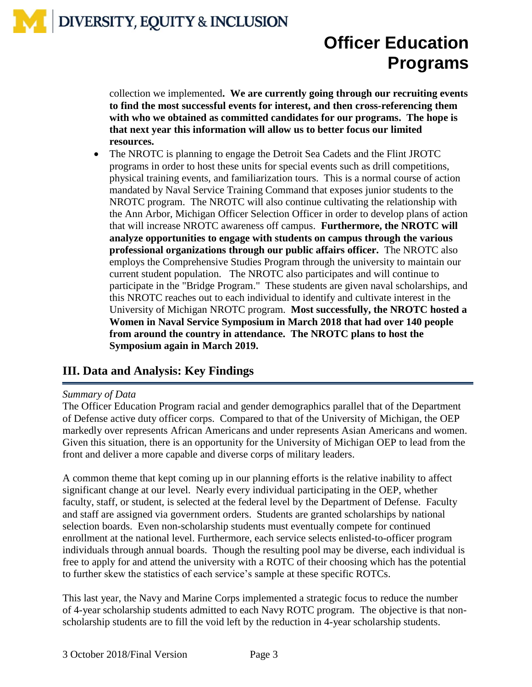## **Officer Education Programs**

collection we implemented**. We are currently going through our recruiting events to find the most successful events for interest, and then cross-referencing them with who we obtained as committed candidates for our programs. The hope is that next year this information will allow us to better focus our limited resources.**

• The NROTC is planning to engage the Detroit Sea Cadets and the Flint JROTC programs in order to host these units for special events such as drill competitions, physical training events, and familiarization tours. This is a normal course of action mandated by Naval Service Training Command that exposes junior students to the NROTC program. The NROTC will also continue cultivating the relationship with the Ann Arbor, Michigan Officer Selection Officer in order to develop plans of action that will increase NROTC awareness off campus. **Furthermore, the NROTC will analyze opportunities to engage with students on campus through the various professional organizations through our public affairs officer.** The NROTC also employs the Comprehensive Studies Program through the university to maintain our current student population. The NROTC also participates and will continue to participate in the "Bridge Program." These students are given naval scholarships, and this NROTC reaches out to each individual to identify and cultivate interest in the University of Michigan NROTC program. **Most successfully, the NROTC hosted a Women in Naval Service Symposium in March 2018 that had over 140 people from around the country in attendance. The NROTC plans to host the Symposium again in March 2019.**

### **III. Data and Analysis: Key Findings**

#### *Summary of Data*

The Officer Education Program racial and gender demographics parallel that of the Department of Defense active duty officer corps. Compared to that of the University of Michigan, the OEP markedly over represents African Americans and under represents Asian Americans and women. Given this situation, there is an opportunity for the University of Michigan OEP to lead from the front and deliver a more capable and diverse corps of military leaders.

A common theme that kept coming up in our planning efforts is the relative inability to affect significant change at our level. Nearly every individual participating in the OEP, whether faculty, staff, or student, is selected at the federal level by the Department of Defense. Faculty and staff are assigned via government orders. Students are granted scholarships by national selection boards. Even non-scholarship students must eventually compete for continued enrollment at the national level. Furthermore, each service selects enlisted-to-officer program individuals through annual boards. Though the resulting pool may be diverse, each individual is free to apply for and attend the university with a ROTC of their choosing which has the potential to further skew the statistics of each service's sample at these specific ROTCs.

This last year, the Navy and Marine Corps implemented a strategic focus to reduce the number of 4-year scholarship students admitted to each Navy ROTC program. The objective is that nonscholarship students are to fill the void left by the reduction in 4-year scholarship students.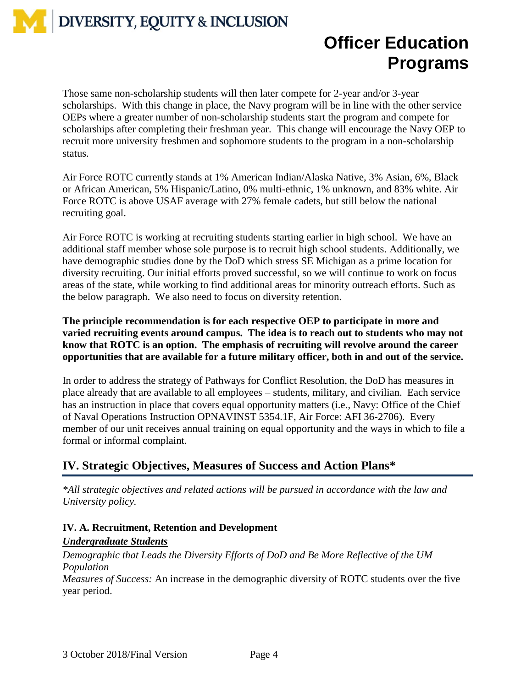## **Officer Education Programs**

Those same non-scholarship students will then later compete for 2-year and/or 3-year scholarships. With this change in place, the Navy program will be in line with the other service OEPs where a greater number of non-scholarship students start the program and compete for scholarships after completing their freshman year. This change will encourage the Navy OEP to recruit more university freshmen and sophomore students to the program in a non-scholarship status.

Air Force ROTC currently stands at 1% American Indian/Alaska Native, 3% Asian, 6%, Black or African American, 5% Hispanic/Latino, 0% multi-ethnic, 1% unknown, and 83% white. Air Force ROTC is above USAF average with 27% female cadets, but still below the national recruiting goal.

Air Force ROTC is working at recruiting students starting earlier in high school. We have an additional staff member whose sole purpose is to recruit high school students. Additionally, we have demographic studies done by the DoD which stress SE Michigan as a prime location for diversity recruiting. Our initial efforts proved successful, so we will continue to work on focus areas of the state, while working to find additional areas for minority outreach efforts. Such as the below paragraph. We also need to focus on diversity retention.

**The principle recommendation is for each respective OEP to participate in more and varied recruiting events around campus. The idea is to reach out to students who may not know that ROTC is an option. The emphasis of recruiting will revolve around the career opportunities that are available for a future military officer, both in and out of the service.**

In order to address the strategy of Pathways for Conflict Resolution, the DoD has measures in place already that are available to all employees – students, military, and civilian. Each service has an instruction in place that covers equal opportunity matters (i.e., Navy: Office of the Chief of Naval Operations Instruction OPNAVINST 5354.1F, Air Force: AFI 36-2706). Every member of our unit receives annual training on equal opportunity and the ways in which to file a formal or informal complaint.

### **IV. Strategic Objectives, Measures of Success and Action Plans\***

*\*All strategic objectives and related actions will be pursued in accordance with the law and University policy.* 

#### **IV. A. Recruitment, Retention and Development**

#### *Undergraduate Students*

*Demographic that Leads the Diversity Efforts of DoD and Be More Reflective of the UM Population*

*Measures of Success:* An increase in the demographic diversity of ROTC students over the five year period.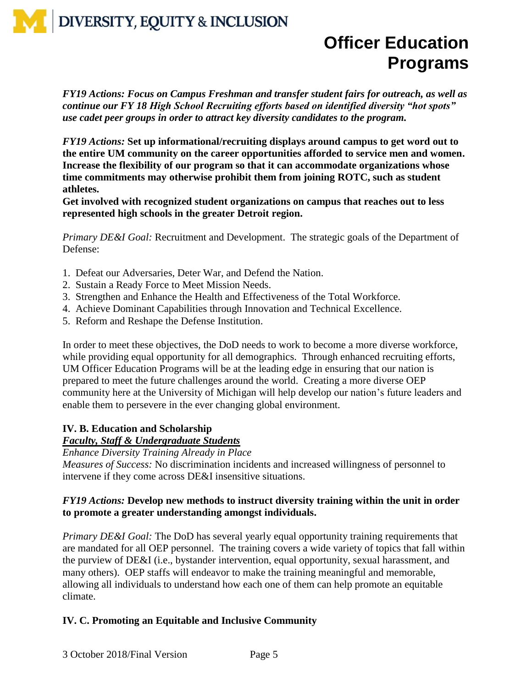## **Officer Education Programs**

*FY19 Actions: Focus on Campus Freshman and transfer student fairs for outreach, as well as continue our FY 18 High School Recruiting efforts based on identified diversity "hot spots" use cadet peer groups in order to attract key diversity candidates to the program.*

*FY19 Actions:* **Set up informational/recruiting displays around campus to get word out to the entire UM community on the career opportunities afforded to service men and women. Increase the flexibility of our program so that it can accommodate organizations whose time commitments may otherwise prohibit them from joining ROTC, such as student athletes.**

**Get involved with recognized student organizations on campus that reaches out to less represented high schools in the greater Detroit region.**

*Primary DE&I Goal:* Recruitment and Development. The strategic goals of the Department of Defense:

- 1. Defeat our Adversaries, Deter War, and Defend the Nation.
- 2. Sustain a Ready Force to Meet Mission Needs.
- 3. Strengthen and Enhance the Health and Effectiveness of the Total Workforce.
- 4. Achieve Dominant Capabilities through Innovation and Technical Excellence.
- 5. Reform and Reshape the Defense Institution.

In order to meet these objectives, the DoD needs to work to become a more diverse workforce, while providing equal opportunity for all demographics. Through enhanced recruiting efforts, UM Officer Education Programs will be at the leading edge in ensuring that our nation is prepared to meet the future challenges around the world. Creating a more diverse OEP community here at the University of Michigan will help develop our nation's future leaders and enable them to persevere in the ever changing global environment.

#### **IV. B. Education and Scholarship**

#### *Faculty, Staff & Undergraduate Students*

*Enhance Diversity Training Already in Place*

*Measures of Success:* No discrimination incidents and increased willingness of personnel to intervene if they come across DE&I insensitive situations.

#### *FY19 Actions:* **Develop new methods to instruct diversity training within the unit in order to promote a greater understanding amongst individuals.**

*Primary DE&I Goal:* The DoD has several yearly equal opportunity training requirements that are mandated for all OEP personnel. The training covers a wide variety of topics that fall within the purview of DE&I (i.e., bystander intervention, equal opportunity, sexual harassment, and many others). OEP staffs will endeavor to make the training meaningful and memorable, allowing all individuals to understand how each one of them can help promote an equitable climate.

#### **IV. C. Promoting an Equitable and Inclusive Community**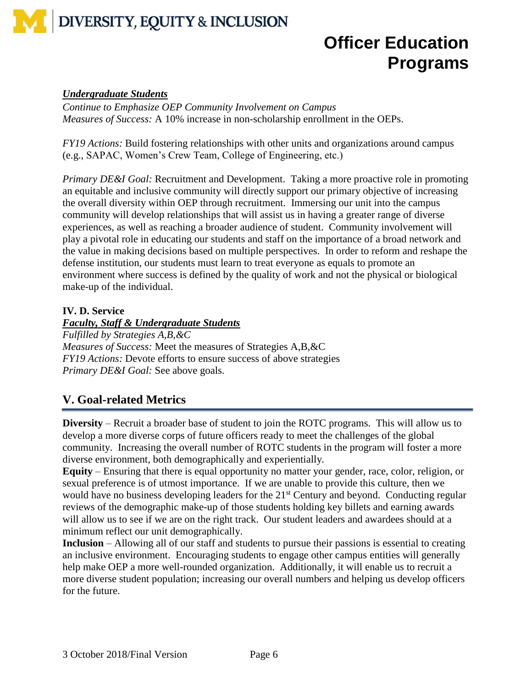

## **Officer Education Programs**

#### *Undergraduate Students*

*Continue to Emphasize OEP Community Involvement on Campus Measures of Success:* A 10% increase in non-scholarship enrollment in the OEPs.

*FY19 Actions:* Build fostering relationships with other units and organizations around campus (e.g., SAPAC, Women's Crew Team, College of Engineering, etc.)

*Primary DE&I Goal:* Recruitment and Development. Taking a more proactive role in promoting an equitable and inclusive community will directly support our primary objective of increasing the overall diversity within OEP through recruitment. Immersing our unit into the campus community will develop relationships that will assist us in having a greater range of diverse experiences, as well as reaching a broader audience of student. Community involvement will play a pivotal role in educating our students and staff on the importance of a broad network and the value in making decisions based on multiple perspectives. In order to reform and reshape the defense institution, our students must learn to treat everyone as equals to promote an environment where success is defined by the quality of work and not the physical or biological make-up of the individual.

#### **IV. D. Service**

#### *Faculty, Staff & Undergraduate Students Fulfilled by Strategies A,B,&C Measures of Success:* Meet the measures of Strategies A,B,&C

*FY19 Actions:* Devote efforts to ensure success of above strategies *Primary DE&I Goal:* See above goals.

### **V. Goal-related Metrics**

**Diversity** – Recruit a broader base of student to join the ROTC programs. This will allow us to develop a more diverse corps of future officers ready to meet the challenges of the global community. Increasing the overall number of ROTC students in the program will foster a more diverse environment, both demographically and experientially.

**Equity** – Ensuring that there is equal opportunity no matter your gender, race, color, religion, or sexual preference is of utmost importance. If we are unable to provide this culture, then we would have no business developing leaders for the 21<sup>st</sup> Century and beyond. Conducting regular reviews of the demographic make-up of those students holding key billets and earning awards will allow us to see if we are on the right track. Our student leaders and awardees should at a minimum reflect our unit demographically.

**Inclusion** – Allowing all of our staff and students to pursue their passions is essential to creating an inclusive environment. Encouraging students to engage other campus entities will generally help make OEP a more well-rounded organization. Additionally, it will enable us to recruit a more diverse student population; increasing our overall numbers and helping us develop officers for the future.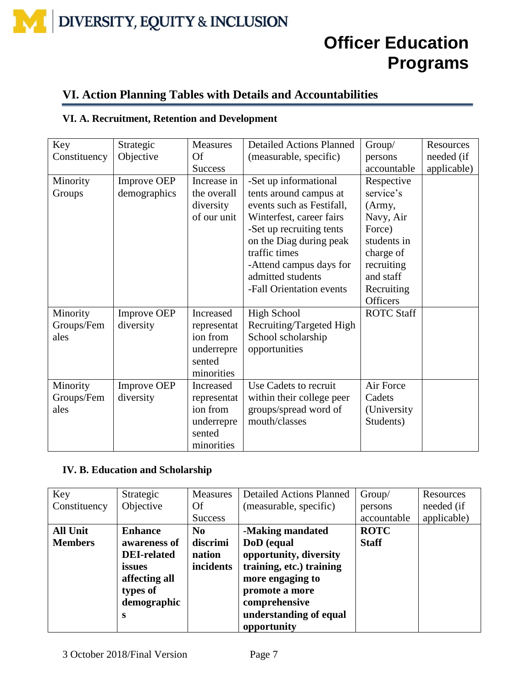### **Officer Education Programs**

### **VI. Action Planning Tables with Details and Accountabilities**

#### **VI. A. Recruitment, Retention and Development**

| Key          | Strategic          | <b>Measures</b> | <b>Detailed Actions Planned</b> | Group/            | Resources   |
|--------------|--------------------|-----------------|---------------------------------|-------------------|-------------|
| Constituency | Objective          | Of              | (measurable, specific)          | persons           | needed (if  |
|              |                    | <b>Success</b>  |                                 | accountable       | applicable) |
| Minority     | Improve OEP        | Increase in     | -Set up informational           | Respective        |             |
| Groups       | demographics       | the overall     | tents around campus at          | service's         |             |
|              |                    | diversity       | events such as Festifall,       | (Army,            |             |
|              |                    | of our unit     | Winterfest, career fairs        | Navy, Air         |             |
|              |                    |                 | -Set up recruiting tents        | Force)            |             |
|              |                    |                 | on the Diag during peak         | students in       |             |
|              |                    |                 | traffic times                   | charge of         |             |
|              |                    |                 | -Attend campus days for         | recruiting        |             |
|              |                    |                 | admitted students               | and staff         |             |
|              |                    |                 | -Fall Orientation events        | Recruiting        |             |
|              |                    |                 |                                 | <b>Officers</b>   |             |
| Minority     | <b>Improve OEP</b> | Increased       | High School                     | <b>ROTC Staff</b> |             |
| Groups/Fem   | diversity          | representat     | Recruiting/Targeted High        |                   |             |
| ales         |                    | ion from        | School scholarship              |                   |             |
|              |                    | underrepre      | opportunities                   |                   |             |
|              |                    | sented          |                                 |                   |             |
|              |                    | minorities      |                                 |                   |             |
| Minority     | <b>Improve OEP</b> | Increased       | Use Cadets to recruit           | Air Force         |             |
| Groups/Fem   | diversity          | representat     | within their college peer       | Cadets            |             |
| ales         |                    | ion from        | groups/spread word of           | (University)      |             |
|              |                    | underrepre      | mouth/classes                   | Students)         |             |
|              |                    | sented          |                                 |                   |             |
|              |                    | minorities      |                                 |                   |             |

#### **IV. B. Education and Scholarship**

| Key             | Strategic          | Measures       | <b>Detailed Actions Planned</b> | Group/       | Resources   |
|-----------------|--------------------|----------------|---------------------------------|--------------|-------------|
| Constituency    | Objective          | Of             | (measurable, specific)          | persons      | needed (if  |
|                 |                    | <b>Success</b> |                                 | accountable  | applicable) |
| <b>All Unit</b> | <b>Enhance</b>     | N <sub>0</sub> | -Making mandated                | <b>ROTC</b>  |             |
| <b>Members</b>  | awareness of       | discrimi       | DoD (equal                      | <b>Staff</b> |             |
|                 | <b>DEI-related</b> | nation         | opportunity, diversity          |              |             |
|                 | issues             | incidents      | training, etc.) training        |              |             |
|                 | affecting all      |                | more engaging to                |              |             |
|                 | types of           |                | promote a more                  |              |             |
|                 | demographic        |                | comprehensive                   |              |             |
|                 | S                  |                | understanding of equal          |              |             |
|                 |                    |                | opportunity                     |              |             |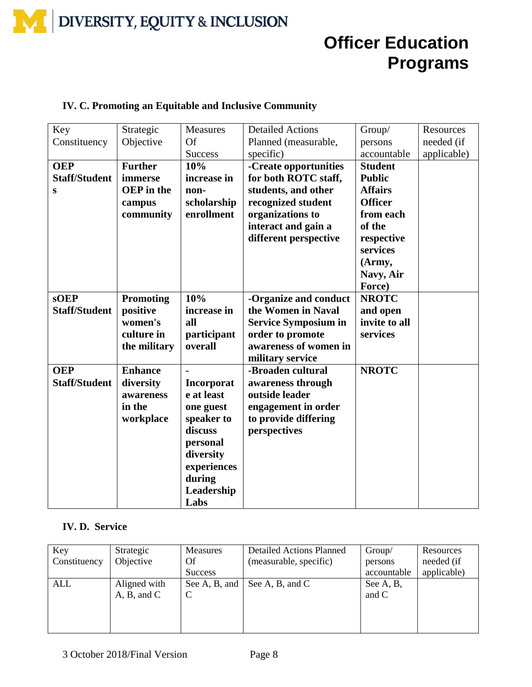## **Officer Education Programs**

#### **IV. C. Promoting an Equitable and Inclusive Community**

| Key                  | Strategic         | Measures          | <b>Detailed Actions</b>     | Group/         | Resources   |
|----------------------|-------------------|-------------------|-----------------------------|----------------|-------------|
| Constituency         | Objective         | Of                | Planned (measurable,        | persons        | needed (if  |
|                      |                   | <b>Success</b>    | specific)                   | accountable    | applicable) |
| <b>OEP</b>           | <b>Further</b>    | 10%               | -Create opportunities       | <b>Student</b> |             |
| <b>Staff/Student</b> | immerse           | increase in       | for both ROTC staff,        | <b>Public</b>  |             |
| S                    | <b>OEP</b> in the | non-              | students, and other         | <b>Affairs</b> |             |
|                      | campus            | scholarship       | recognized student          | <b>Officer</b> |             |
|                      | community         | enrollment        | organizations to            | from each      |             |
|                      |                   |                   | interact and gain a         | of the         |             |
|                      |                   |                   | different perspective       | respective     |             |
|                      |                   |                   |                             | services       |             |
|                      |                   |                   |                             | (Army,         |             |
|                      |                   |                   |                             | Navy, Air      |             |
|                      |                   |                   |                             | Force)         |             |
| <b>sOEP</b>          | Promoting         | 10%               | -Organize and conduct       | <b>NROTC</b>   |             |
| <b>Staff/Student</b> | positive          | increase in       | the Women in Naval          | and open       |             |
|                      | women's           | all               | <b>Service Symposium in</b> | invite to all  |             |
|                      | culture in        | participant       | order to promote            | services       |             |
|                      | the military      | overall           | awareness of women in       |                |             |
|                      |                   |                   | military service            |                |             |
| <b>OEP</b>           | <b>Enhance</b>    |                   | -Broaden cultural           | <b>NROTC</b>   |             |
| <b>Staff/Student</b> | diversity         | <b>Incorporat</b> | awareness through           |                |             |
|                      | awareness         | e at least        | outside leader              |                |             |
|                      | in the            | one guest         | engagement in order         |                |             |
|                      | workplace         | speaker to        | to provide differing        |                |             |
|                      |                   | discuss           | perspectives                |                |             |
|                      |                   | personal          |                             |                |             |
|                      |                   | diversity         |                             |                |             |
|                      |                   | experiences       |                             |                |             |
|                      |                   | during            |                             |                |             |
|                      |                   | Leadership        |                             |                |             |
|                      |                   | Labs              |                             |                |             |

#### **IV. D. Service**

| Key          | Strategic    | Measures       | <b>Detailed Actions Planned</b> | Group/      | Resources   |
|--------------|--------------|----------------|---------------------------------|-------------|-------------|
| Constituency | Objective    | Of             | (measurable, specific)          | persons     | needed (if  |
|              |              | <b>Success</b> |                                 | accountable | applicable) |
| ALL          | Aligned with | See A, B, and  | See A, B, and C                 | See A, B,   |             |
|              | A, B, and C  | C              |                                 | and C       |             |
|              |              |                |                                 |             |             |
|              |              |                |                                 |             |             |
|              |              |                |                                 |             |             |